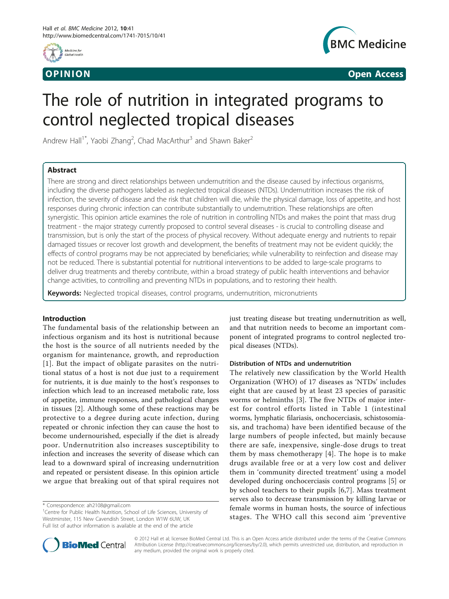



**OPINION** Open Access

# The role of nutrition in integrated programs to control neglected tropical diseases

Andrew Hall<sup>1\*</sup>, Yaobi Zhang<sup>2</sup>, Chad MacArthur<sup>3</sup> and Shawn Baker<sup>2</sup>

# Abstract

There are strong and direct relationships between undernutrition and the disease caused by infectious organisms, including the diverse pathogens labeled as neglected tropical diseases (NTDs). Undernutrition increases the risk of infection, the severity of disease and the risk that children will die, while the physical damage, loss of appetite, and host responses during chronic infection can contribute substantially to undernutrition. These relationships are often synergistic. This opinion article examines the role of nutrition in controlling NTDs and makes the point that mass drug treatment - the major strategy currently proposed to control several diseases - is crucial to controlling disease and transmission, but is only the start of the process of physical recovery. Without adequate energy and nutrients to repair damaged tissues or recover lost growth and development, the benefits of treatment may not be evident quickly; the effects of control programs may be not appreciated by beneficiaries; while vulnerability to reinfection and disease may not be reduced. There is substantial potential for nutritional interventions to be added to large-scale programs to deliver drug treatments and thereby contribute, within a broad strategy of public health interventions and behavior change activities, to controlling and preventing NTDs in populations, and to restoring their health.

Keywords: Neglected tropical diseases, control programs, undernutrition, micronutrients

# Introduction

The fundamental basis of the relationship between an infectious organism and its host is nutritional because the host is the source of all nutrients needed by the organism for maintenance, growth, and reproduction [[1](#page-8-0)]. But the impact of obligate parasites on the nutritional status of a host is not due just to a requirement for nutrients, it is due mainly to the host's responses to infection which lead to an increased metabolic rate, loss of appetite, immune responses, and pathological changes in tissues [[2](#page-8-0)]. Although some of these reactions may be protective to a degree during acute infection, during repeated or chronic infection they can cause the host to become undernourished, especially if the diet is already poor. Undernutrition also increases susceptibility to infection and increases the severity of disease which can lead to a downward spiral of increasing undernutrition and repeated or persistent disease. In this opinion article we argue that breaking out of that spiral requires not

just treating disease but treating undernutrition as well, and that nutrition needs to become an important component of integrated programs to control neglected tropical diseases (NTDs).

## Distribution of NTDs and undernutrition

The relatively new classification by the World Health Organization (WHO) of 17 diseases as 'NTDs' includes eight that are caused by at least 23 species of parasitic worms or helminths [\[3](#page-8-0)]. The five NTDs of major interest for control efforts listed in Table [1](#page-1-0) (intestinal worms, lymphatic filariasis, onchocerciasis, schistosomiasis, and trachoma) have been identified because of the large numbers of people infected, but mainly because there are safe, inexpensive, single-dose drugs to treat them by mass chemotherapy [[4\]](#page-8-0). The hope is to make drugs available free or at a very low cost and deliver them in 'community directed treatment' using a model developed during onchocerciasis control programs [[5](#page-8-0)] or by school teachers to their pupils [\[6,7](#page-8-0)]. Mass treatment serves also to decrease transmission by killing larvae or female worms in human hosts, the source of infectious stages. The WHO call this second aim 'preventive



© 2012 Hall et al; licensee BioMed Central Ltd. This is an Open Access article distributed under the terms of the Creative Commons Attribution License [\(http://creativecommons.org/licenses/by/2.0](http://creativecommons.org/licenses/by/2.0)), which permits unrestricted use, distribution, and reproduction in any medium, provided the original work is properly cited.

<sup>\*</sup> Correspondence: [ah2108@gmail.com](mailto:ah2108@gmail.com)

<sup>&</sup>lt;sup>1</sup>Centre for Public Health Nutrition, School of Life Sciences, University of Westminster, 115 New Cavendish Street, London W1W 6UW, UK Full list of author information is available at the end of the article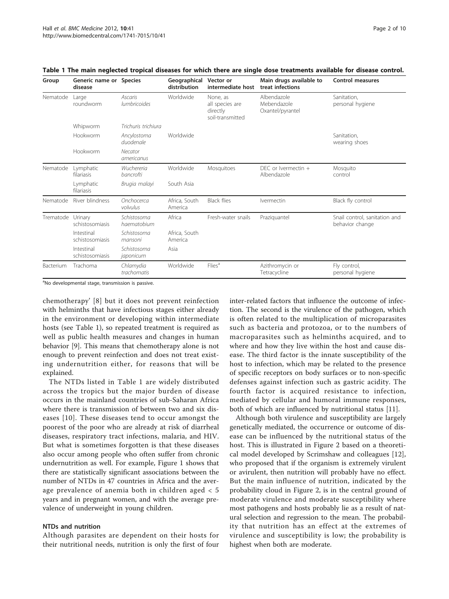| Group     | Generic name or Species<br>disease |                                | Geographical<br>distribution | Vector or<br>intermediate host                              | Main drugs available to<br>treat infections    | <b>Control measures</b>                          |
|-----------|------------------------------------|--------------------------------|------------------------------|-------------------------------------------------------------|------------------------------------------------|--------------------------------------------------|
| Nematode  | Large<br>roundworm                 | Ascaris<br><i>lumbricoides</i> | Worldwide                    | None, as<br>all species are<br>directly<br>soil-transmitted | Albendazole<br>Mebendazole<br>Oxantel/pyrantel | Sanitation,<br>personal hygiene                  |
|           | Whipworm                           | Trichuris trichiura            |                              |                                                             |                                                |                                                  |
|           | Hookworm                           | Ancylostoma<br>duodenale       | Worldwide                    |                                                             |                                                | Sanitation,<br>wearing shoes                     |
|           | Hookworm                           | Necator<br>americanus          |                              |                                                             |                                                |                                                  |
| Nematode  | Lymphatic<br>filariasis            | Wuchereria<br>bancrofti        | Worldwide                    | Mosquitoes                                                  | DFC or Ivermectin +<br>Albendazole             | Mosquito<br>control                              |
|           | Lymphatic<br>filariasis            | Brugia malayi                  | South Asia                   |                                                             |                                                |                                                  |
| Nematode  | River blindness                    | Onchocerca<br>volvulus         | Africa, South<br>America     | <b>Black flies</b>                                          | Ivermectin                                     | Black fly control                                |
| Trematode | Urinary<br>schistosomiasis         | Schistosoma<br>haematobium     | Africa                       | Fresh-water snails                                          | Praziquantel                                   | Snail control, sanitation and<br>behavior change |
|           | Intestinal<br>schistosomiasis      | Schistosoma<br>mansoni         | Africa, South<br>America     |                                                             |                                                |                                                  |
|           | Intestinal<br>schistosomiasis      | Schistosoma<br>japonicum       | Asia                         |                                                             |                                                |                                                  |
| Bacterium | Trachoma                           | Chlamydia<br>trachomatis       | Worldwide                    | $Flies^a$                                                   | Azithromycin or<br>Tetracycline                | Fly control,<br>personal hygiene                 |

<span id="page-1-0"></span>Table 1 The main neglected tropical diseases for which there are single dose treatments available for disease control.

<sup>a</sup>No developmental stage, transmission is passive.

chemotherapy' [[8](#page-8-0)] but it does not prevent reinfection with helminths that have infectious stages either already in the environment or developing within intermediate hosts (see Table 1), so repeated treatment is required as well as public health measures and changes in human behavior [[9\]](#page-8-0). This means that chemotherapy alone is not enough to prevent reinfection and does not treat existing undernutrition either, for reasons that will be explained.

The NTDs listed in Table 1 are widely distributed across the tropics but the major burden of disease occurs in the mainland countries of sub-Saharan Africa where there is transmission of between two and six diseases [[10](#page-8-0)]. These diseases tend to occur amongst the poorest of the poor who are already at risk of diarrheal diseases, respiratory tract infections, malaria, and HIV. But what is sometimes forgotten is that these diseases also occur among people who often suffer from chronic undernutrition as well. For example, Figure [1](#page-2-0) shows that there are statistically significant associations between the number of NTDs in 47 countries in Africa and the average prevalence of anemia both in children aged < 5 years and in pregnant women, and with the average prevalence of underweight in young children.

### NTDs and nutrition

Although parasites are dependent on their hosts for their nutritional needs, nutrition is only the first of four inter-related factors that influence the outcome of infection. The second is the virulence of the pathogen, which is often related to the multiplication of microparasites such as bacteria and protozoa, or to the numbers of macroparasites such as helminths acquired, and to where and how they live within the host and cause disease. The third factor is the innate susceptibility of the host to infection, which may be related to the presence of specific receptors on body surfaces or to non-specific defenses against infection such as gastric acidity. The fourth factor is acquired resistance to infection, mediated by cellular and humoral immune responses, both of which are influenced by nutritional status [[11](#page-8-0)].

Although both virulence and susceptibility are largely genetically mediated, the occurrence or outcome of disease can be influenced by the nutritional status of the host. This is illustrated in Figure [2](#page-3-0) based on a theoretical model developed by Scrimshaw and colleagues [\[12](#page-8-0)], who proposed that if the organism is extremely virulent or avirulent, then nutrition will probably have no effect. But the main influence of nutrition, indicated by the probability cloud in Figure [2](#page-3-0), is in the central ground of moderate virulence and moderate susceptibility where most pathogens and hosts probably lie as a result of natural selection and regression to the mean. The probability that nutrition has an effect at the extremes of virulence and susceptibility is low; the probability is highest when both are moderate.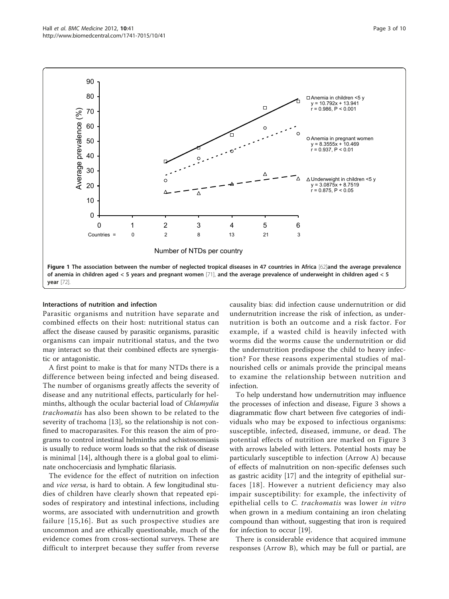<span id="page-2-0"></span>

#### Interactions of nutrition and infection

Parasitic organisms and nutrition have separate and combined effects on their host: nutritional status can affect the disease caused by parasitic organisms, parasitic organisms can impair nutritional status, and the two may interact so that their combined effects are synergistic or antagonistic.

A first point to make is that for many NTDs there is a difference between being infected and being diseased. The number of organisms greatly affects the severity of disease and any nutritional effects, particularly for helminths, although the ocular bacterial load of Chlamydia trachomatis has also been shown to be related to the severity of trachoma [\[13](#page-8-0)], so the relationship is not confined to macroparasites. For this reason the aim of programs to control intestinal helminths and schistosomiasis is usually to reduce worm loads so that the risk of disease is minimal [[14](#page-8-0)], although there is a global goal to eliminate onchocerciasis and lymphatic filariasis.

The evidence for the effect of nutrition on infection and vice versa, is hard to obtain. A few longitudinal studies of children have clearly shown that repeated episodes of respiratory and intestinal infections, including worms, are associated with undernutrition and growth failure [\[15](#page-8-0),[16\]](#page-8-0). But as such prospective studies are uncommon and are ethically questionable, much of the evidence comes from cross-sectional surveys. These are difficult to interpret because they suffer from reverse

causality bias: did infection cause undernutrition or did undernutrition increase the risk of infection, as undernutrition is both an outcome and a risk factor. For example, if a wasted child is heavily infected with worms did the worms cause the undernutrition or did the undernutrition predispose the child to heavy infection? For these reasons experimental studies of malnourished cells or animals provide the principal means to examine the relationship between nutrition and infection.

To help understand how undernutrition may influence the processes of infection and disease, Figure [3](#page-4-0) shows a diagrammatic flow chart between five categories of individuals who may be exposed to infectious organisms: susceptible, infected, diseased, immune, or dead. The potential effects of nutrition are marked on Figure [3](#page-4-0) with arrows labeled with letters. Potential hosts may be particularly susceptible to infection (Arrow A) because of effects of malnutrition on non-specific defenses such as gastric acidity [\[17](#page-8-0)] and the integrity of epithelial surfaces [[18](#page-8-0)]. However a nutrient deficiency may also impair susceptibility: for example, the infectivity of epithelial cells to C. trachomatis was lower in vitro when grown in a medium containing an iron chelating compound than without, suggesting that iron is required for infection to occur [\[19\]](#page-8-0).

There is considerable evidence that acquired immune responses (Arrow B), which may be full or partial, are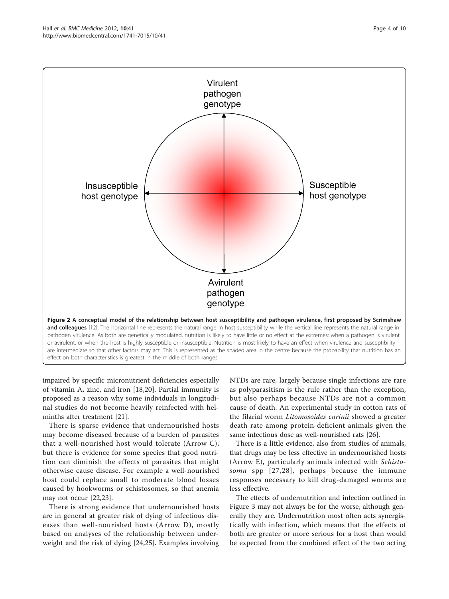<span id="page-3-0"></span>

impaired by specific micronutrient deficiencies especially of vitamin A, zinc, and iron [[18,20\]](#page-8-0). Partial immunity is proposed as a reason why some individuals in longitudinal studies do not become heavily reinfected with helminths after treatment [\[21\]](#page-8-0).

There is sparse evidence that undernourished hosts may become diseased because of a burden of parasites that a well-nourished host would tolerate (Arrow C), but there is evidence for some species that good nutrition can diminish the effects of parasites that might otherwise cause disease. For example a well-nourished host could replace small to moderate blood losses caused by hookworms or schistosomes, so that anemia may not occur [[22,23\]](#page-8-0).

There is strong evidence that undernourished hosts are in general at greater risk of dying of infectious diseases than well-nourished hosts (Arrow D), mostly based on analyses of the relationship between underweight and the risk of dying [\[24,25](#page-8-0)]. Examples involving NTDs are rare, largely because single infections are rare as polyparasitism is the rule rather than the exception, but also perhaps because NTDs are not a common cause of death. An experimental study in cotton rats of the filarial worm Litomosoides carinii showed a greater death rate among protein-deficient animals given the same infectious dose as well-nourished rats [\[26](#page-8-0)].

There is a little evidence, also from studies of animals, that drugs may be less effective in undernourished hosts (Arrow E), particularly animals infected with Schisto-soma spp [[27](#page-8-0),[28\]](#page-8-0), perhaps because the immune responses necessary to kill drug-damaged worms are less effective.

The effects of undernutrition and infection outlined in Figure [3](#page-4-0) may not always be for the worse, although generally they are. Undernutrition most often acts synergistically with infection, which means that the effects of both are greater or more serious for a host than would be expected from the combined effect of the two acting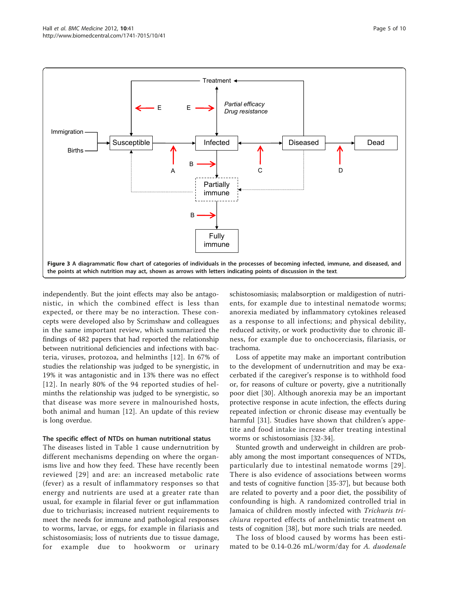<span id="page-4-0"></span>

independently. But the joint effects may also be antagonistic, in which the combined effect is less than expected, or there may be no interaction. These concepts were developed also by Scrimshaw and colleagues in the same important review, which summarized the findings of 482 papers that had reported the relationship between nutritional deficiencies and infections with bacteria, viruses, protozoa, and helminths [\[12\]](#page-8-0). In 67% of studies the relationship was judged to be synergistic, in 19% it was antagonistic and in 13% there was no effect [[12\]](#page-8-0). In nearly 80% of the 94 reported studies of helminths the relationship was judged to be synergistic, so that disease was more severe in malnourished hosts, both animal and human [[12](#page-8-0)]. An update of this review is long overdue.

### The specific effect of NTDs on human nutritional status

The diseases listed in Table [1](#page-1-0) cause undernutrition by different mechanisms depending on where the organisms live and how they feed. These have recently been reviewed [[29\]](#page-8-0) and are: an increased metabolic rate (fever) as a result of inflammatory responses so that energy and nutrients are used at a greater rate than usual, for example in filarial fever or gut inflammation due to trichuriasis; increased nutrient requirements to meet the needs for immune and pathological responses to worms, larvae, or eggs, for example in filariasis and schistosomiasis; loss of nutrients due to tissue damage, for example due to hookworm or urinary

schistosomiasis; malabsorption or maldigestion of nutrients, for example due to intestinal nematode worms; anorexia mediated by inflammatory cytokines released as a response to all infections; and physical debility, reduced activity, or work productivity due to chronic illness, for example due to onchocerciasis, filariasis, or trachoma.

Loss of appetite may make an important contribution to the development of undernutrition and may be exacerbated if the caregiver's response is to withhold food or, for reasons of culture or poverty, give a nutritionally poor diet [[30\]](#page-8-0). Although anorexia may be an important protective response in acute infection, the effects during repeated infection or chronic disease may eventually be harmful [[31\]](#page-8-0). Studies have shown that children's appetite and food intake increase after treating intestinal worms or schistosomiasis [[32-34\]](#page-8-0).

Stunted growth and underweight in children are probably among the most important consequences of NTDs, particularly due to intestinal nematode worms [[29\]](#page-8-0). There is also evidence of associations between worms and tests of cognitive function [\[35](#page-8-0)-[37](#page-8-0)], but because both are related to poverty and a poor diet, the possibility of confounding is high. A randomized controlled trial in Jamaica of children mostly infected with Trichuris trichiura reported effects of anthelmintic treatment on tests of cognition [\[38\]](#page-8-0), but more such trials are needed.

The loss of blood caused by worms has been estimated to be 0.14-0.26 mL/worm/day for A. duodenale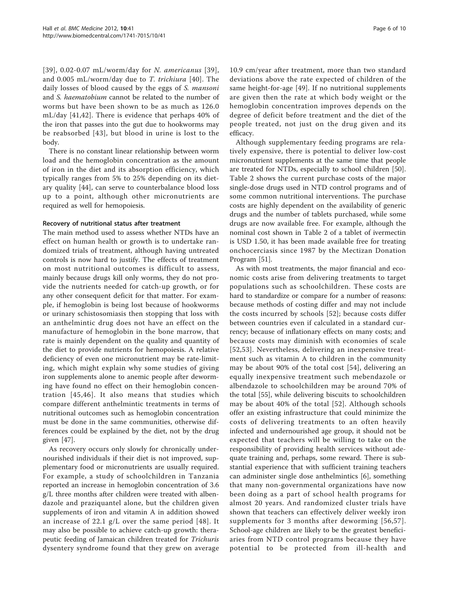[[39](#page-8-0)], 0.02-0.07 mL/worm/day for N. americanus [[39\]](#page-8-0), and 0.005 mL/worm/day due to T. trichiura [\[40\]](#page-8-0). The daily losses of blood caused by the eggs of S. mansoni and S. haematobium cannot be related to the number of worms but have been shown to be as much as 126.0 mL/day [[41,42](#page-8-0)]. There is evidence that perhaps 40% of the iron that passes into the gut due to hookworms may be reabsorbed [[43](#page-9-0)], but blood in urine is lost to the body.

There is no constant linear relationship between worm load and the hemoglobin concentration as the amount of iron in the diet and its absorption efficiency, which typically ranges from 5% to 25% depending on its dietary quality [[44\]](#page-9-0), can serve to counterbalance blood loss up to a point, although other micronutrients are required as well for hemopoiesis.

### Recovery of nutritional status after treatment

The main method used to assess whether NTDs have an effect on human health or growth is to undertake randomized trials of treatment, although having untreated controls is now hard to justify. The effects of treatment on most nutritional outcomes is difficult to assess, mainly because drugs kill only worms, they do not provide the nutrients needed for catch-up growth, or for any other consequent deficit for that matter. For example, if hemoglobin is being lost because of hookworms or urinary schistosomiasis then stopping that loss with an anthelmintic drug does not have an effect on the manufacture of hemoglobin in the bone marrow, that rate is mainly dependent on the quality and quantity of the diet to provide nutrients for hemopoiesis. A relative deficiency of even one micronutrient may be rate-limiting, which might explain why some studies of giving iron supplements alone to anemic people after deworming have found no effect on their hemoglobin concentration [[45,46\]](#page-9-0). It also means that studies which compare different anthelmintic treatments in terms of nutritional outcomes such as hemoglobin concentration must be done in the same communities, otherwise differences could be explained by the diet, not by the drug given [[47](#page-9-0)].

As recovery occurs only slowly for chronically undernourished individuals if their diet is not improved, supplementary food or micronutrients are usually required. For example, a study of schoolchildren in Tanzania reported an increase in hemoglobin concentration of 3.6 g/L three months after children were treated with albendazole and praziquantel alone, but the children given supplements of iron and vitamin A in addition showed an increase of 22.1 g/L over the same period [[48](#page-9-0)]. It may also be possible to achieve catch-up growth: therapeutic feeding of Jamaican children treated for Trichuris dysentery syndrome found that they grew on average

10.9 cm/year after treatment, more than two standard deviations above the rate expected of children of the same height-for-age [\[49](#page-9-0)]. If no nutritional supplements are given then the rate at which body weight or the hemoglobin concentration improves depends on the degree of deficit before treatment and the diet of the people treated, not just on the drug given and its efficacy.

Although supplementary feeding programs are relatively expensive, there is potential to deliver low-cost micronutrient supplements at the same time that people are treated for NTDs, especially to school children [\[50](#page-9-0)]. Table [2](#page-6-0) shows the current purchase costs of the major single-dose drugs used in NTD control programs and of some common nutritional interventions. The purchase costs are highly dependent on the availability of generic drugs and the number of tablets purchased, while some drugs are now available free. For example, although the nominal cost shown in Table [2](#page-6-0) of a tablet of ivermectin is USD 1.50, it has been made available free for treating onchocerciasis since 1987 by the Mectizan Donation Program [\[51\]](#page-9-0).

As with most treatments, the major financial and economic costs arise from delivering treatments to target populations such as schoolchildren. These costs are hard to standardize or compare for a number of reasons: because methods of costing differ and may not include the costs incurred by schools [\[52](#page-9-0)]; because costs differ between countries even if calculated in a standard currency; because of inflationary effects on many costs; and because costs may diminish with economies of scale [[52](#page-9-0),[53](#page-9-0)]. Nevertheless, delivering an inexpensive treatment such as vitamin A to children in the community may be about 90% of the total cost [[54\]](#page-9-0), delivering an equally inexpensive treatment such mebendazole or albendazole to schoolchildren may be around 70% of the total [[55\]](#page-9-0), while delivering biscuits to schoolchildren may be about 40% of the total [[52](#page-9-0)]. Although schools offer an existing infrastructure that could minimize the costs of delivering treatments to an often heavily infected and undernourished age group, it should not be expected that teachers will be willing to take on the responsibility of providing health services without adequate training and, perhaps, some reward. There is substantial experience that with sufficient training teachers can administer single dose anthelmintics [[6\]](#page-8-0), something that many non-governmental organizations have now been doing as a part of school health programs for almost 20 years. And randomized cluster trials have shown that teachers can effectively deliver weekly iron supplements for 3 months after deworming [[56,57\]](#page-9-0). School-age children are likely to be the greatest beneficiaries from NTD control programs because they have potential to be protected from ill-health and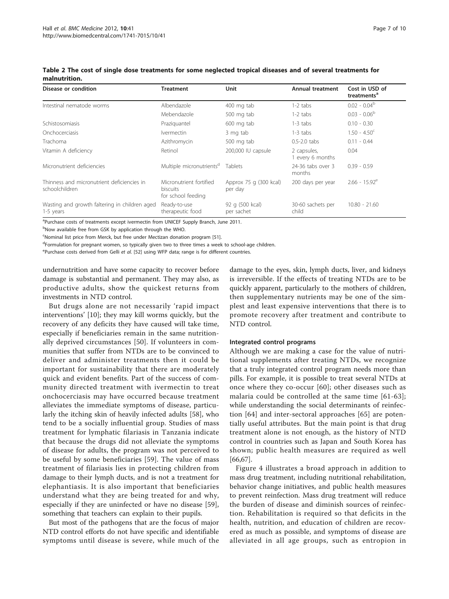| Disease or condition                                         | Treatment                                                 | Unit                              | <b>Annual treatment</b>         | Cost in USD of<br>treatments <sup>a</sup> |
|--------------------------------------------------------------|-----------------------------------------------------------|-----------------------------------|---------------------------------|-------------------------------------------|
| Intestinal nematode worms                                    | Albendazole                                               | 400 mg tab                        | $1-2$ tabs                      | $0.02 - 0.04^b$                           |
|                                                              | Mebendazole                                               | 500 mg tab                        | $1-2$ tabs                      | $0.03 - 0.06^b$                           |
| Schistosomiasis                                              | Praziguantel                                              | 600 mg tab                        | $1-3$ tabs                      | $0.10 - 0.30$                             |
| Onchocerciasis                                               | <i>lvermectin</i>                                         | 3 mg tab                          | $1-3$ tabs                      | $1.50 - 4.50^{\circ}$                     |
| Trachoma                                                     | Azithromycin                                              | 500 mg tab                        | $0.5 - 2.0$ tabs                | $0.11 - 0.44$                             |
| Vitamin A deficiency                                         | Retinol                                                   | 200,000 IU capsule                | 2 capsules,<br>1 every 6 months | 0.04                                      |
| Micronutrient deficiencies                                   | Multiple micronutrients <sup>d</sup>                      | Tablets                           | 24-36 tabs over 3<br>months     | $0.39 - 0.59$                             |
| Thinness and micronutrient deficiencies in<br>schoolchildren | Micronutrient fortified<br>biscuits<br>for school feeding | Approx 75 g (300 kcal)<br>per day | 200 days per year               | $2.66 - 15.92^e$                          |
| Wasting and growth faltering in children aged<br>1-5 years   | Ready-to-use<br>therapeutic food                          | 92 g (500 kcal)<br>per sachet     | 30-60 sachets per<br>child      | $10.80 - 21.60$                           |

<span id="page-6-0"></span>Table 2 The cost of single dose treatments for some neglected tropical diseases and of several treatments for malnutrition.

<sup>a</sup>Purchase costs of treatments except ivermectin from UNICEF Supply Branch, June 2011.

<sup>b</sup>Now available free from GSK by application through the WHO.

<sup>c</sup>Nominal list price from Merck, but free under Mectizan donation program [[51\]](#page-9-0).

<sup>d</sup>Formulation for pregnant women, so typically given two to three times a week to school-age children.

<sup>e</sup>Purchase costs derived from Gelli et al. [\[52\]](#page-9-0) using WFP data; range is for different countries.

undernutrition and have some capacity to recover before damage is substantial and permanent. They may also, as productive adults, show the quickest returns from investments in NTD control.

But drugs alone are not necessarily 'rapid impact interventions' [\[10\]](#page-8-0); they may kill worms quickly, but the recovery of any deficits they have caused will take time, especially if beneficiaries remain in the same nutritionally deprived circumstances [[50](#page-9-0)]. If volunteers in communities that suffer from NTDs are to be convinced to deliver and administer treatments then it could be important for sustainability that there are moderately quick and evident benefits. Part of the success of community directed treatment with ivermectin to treat onchocerciasis may have occurred because treatment alleviates the immediate symptoms of disease, particularly the itching skin of heavily infected adults [[58\]](#page-9-0), who tend to be a socially influential group. Studies of mass treatment for lymphatic filariasis in Tanzania indicate that because the drugs did not alleviate the symptoms of disease for adults, the program was not perceived to be useful by some beneficiaries [[59\]](#page-9-0). The value of mass treatment of filariasis lies in protecting children from damage to their lymph ducts, and is not a treatment for elephantiasis. It is also important that beneficiaries understand what they are being treated for and why, especially if they are uninfected or have no disease [\[59](#page-9-0)], something that teachers can explain to their pupils.

But most of the pathogens that are the focus of major NTD control efforts do not have specific and identifiable symptoms until disease is severe, while much of the

damage to the eyes, skin, lymph ducts, liver, and kidneys is irreversible. If the effects of treating NTDs are to be quickly apparent, particularly to the mothers of children, then supplementary nutrients may be one of the simplest and least expensive interventions that there is to promote recovery after treatment and contribute to NTD control.

#### Integrated control programs

Although we are making a case for the value of nutritional supplements after treating NTDs, we recognize that a truly integrated control program needs more than pills. For example, it is possible to treat several NTDs at once where they co-occur [[60\]](#page-9-0); other diseases such as malaria could be controlled at the same time [[61-63\]](#page-9-0); while understanding the social determinants of reinfection [\[64](#page-9-0)] and inter-sectoral approaches [[65\]](#page-9-0) are potentially useful attributes. But the main point is that drug treatment alone is not enough, as the history of NTD control in countries such as Japan and South Korea has shown; public health measures are required as well [[66,67\]](#page-9-0).

Figure [4](#page-7-0) illustrates a broad approach in addition to mass drug treatment, including nutritional rehabilitation, behavior change initiatives, and public health measures to prevent reinfection. Mass drug treatment will reduce the burden of disease and diminish sources of reinfection. Rehabilitation is required so that deficits in the health, nutrition, and education of children are recovered as much as possible, and symptoms of disease are alleviated in all age groups, such as entropion in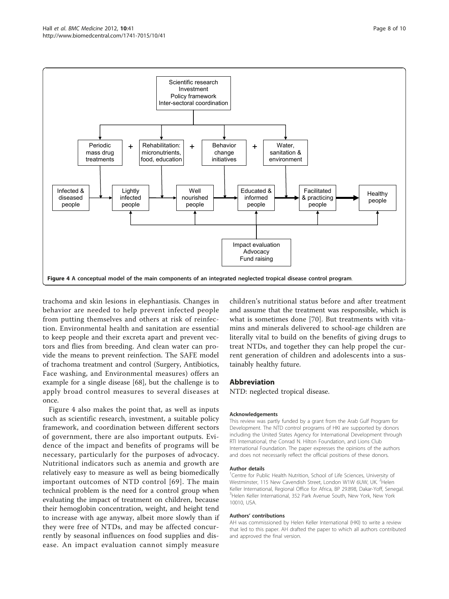<span id="page-7-0"></span>

trachoma and skin lesions in elephantiasis. Changes in behavior are needed to help prevent infected people from putting themselves and others at risk of reinfection. Environmental health and sanitation are essential to keep people and their excreta apart and prevent vectors and flies from breeding. And clean water can provide the means to prevent reinfection. The SAFE model of trachoma treatment and control (Surgery, Antibiotics, Face washing, and Environmental measures) offers an example for a single disease [[68\]](#page-9-0), but the challenge is to apply broad control measures to several diseases at once.

Figure 4 also makes the point that, as well as inputs such as scientific research, investment, a suitable policy framework, and coordination between different sectors of government, there are also important outputs. Evidence of the impact and benefits of programs will be necessary, particularly for the purposes of advocacy. Nutritional indicators such as anemia and growth are relatively easy to measure as well as being biomedically important outcomes of NTD control [[69](#page-9-0)]. The main technical problem is the need for a control group when evaluating the impact of treatment on children, because their hemoglobin concentration, weight, and height tend to increase with age anyway, albeit more slowly than if they were free of NTDs, and may be affected concurrently by seasonal influences on food supplies and disease. An impact evaluation cannot simply measure

children's nutritional status before and after treatment and assume that the treatment was responsible, which is what is sometimes done [\[70](#page-9-0)]. But treatments with vitamins and minerals delivered to school-age children are literally vital to build on the benefits of giving drugs to treat NTDs, and together they can help propel the current generation of children and adolescents into a sustainably healthy future.

### Abbreviation

NTD: neglected tropical disease.

#### Acknowledgements

This review was partly funded by a grant from the Arab Gulf Program for Development. The NTD control programs of HKI are supported by donors including the United States Agency for International Development through RTI International, the Conrad N. Hilton Foundation, and Lions Club International Foundation. The paper expresses the opinions of the authors and does not necessarily reflect the official positions of these donors.

#### Author details

<sup>1</sup> Centre for Public Health Nutrition, School of Life Sciences, University of Westminster, 115 New Cavendish Street, London W1W 6UW, UK. <sup>2</sup>Helen Keller International, Regional Office for Africa, BP 29.898, Dakar-Yoff, Senegal. <sup>3</sup>Helen Keller International, 352 Park Avenue South, New York, New York 10010, USA.

#### Authors' contributions

AH was commissioned by Helen Keller International (HKI) to write a review that led to this paper. AH drafted the paper to which all authors contributed and approved the final version.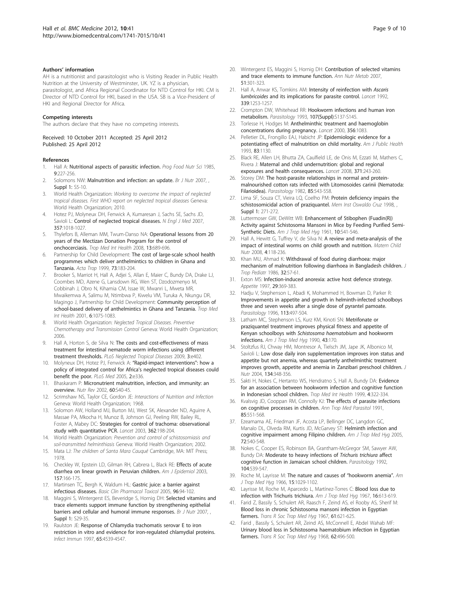#### <span id="page-8-0"></span>Authors' information

AH is a nutritionist and parasitologist who is Visiting Reader in Public Health Nutrition at the University of Westminster, UK. YZ is a physician, parasitologist, and Africa Regional Coordinator for NTD Control for HKI. CM is Director of NTD Control for HKI, based in the USA. SB is a Vice-President of HKI and Regional Director for Africa.

#### Competing interests

The authors declare that they have no competing interests.

#### Received: 10 October 2011 Accepted: 25 April 2012 Published: 25 April 2012

#### References

- 1. Hall A: [Nutritional aspects of parasitic infection.](http://www.ncbi.nlm.nih.gov/pubmed/3914654?dopt=Abstract) Prog Food Nutr Sci 1985, 9:227-256.
- 2. Solomons NW: Malnutrition and infection: an update. Br J Nutr 2007, , Suppl 1: S5-10.
- 3. World Health Organization: Working to overcome the impact of neglected tropical diseases. First WHO report on neglected tropical diseases Geneva: World Health Organization; 2010.
- 4. Hotez PJ, Molyneux DH, Fenwick A, Kumaresan J, Sachs SE, Sachs JD, Savioli L: [Control of neglected tropical diseases.](http://www.ncbi.nlm.nih.gov/pubmed/17804846?dopt=Abstract) N Engl J Med 2007, 357:1018-1027.
- 5. Thylefors B, Alleman MM, Twum-Danso NA: [Operational lessons from 20](http://www.ncbi.nlm.nih.gov/pubmed/18419585?dopt=Abstract) [years of the Mectizan Donation Program for the control of](http://www.ncbi.nlm.nih.gov/pubmed/18419585?dopt=Abstract) [onchocerciasis.](http://www.ncbi.nlm.nih.gov/pubmed/18419585?dopt=Abstract) Trop Med Int Health 2008, 13:689-696.
- 6. Partnership for Child Development: [The cost of large-scale school health](http://www.ncbi.nlm.nih.gov/pubmed/10465058?dopt=Abstract) [programmes which deliver anthelmintics to children in Ghana and](http://www.ncbi.nlm.nih.gov/pubmed/10465058?dopt=Abstract) [Tanzania.](http://www.ncbi.nlm.nih.gov/pubmed/10465058?dopt=Abstract) Acta Trop 1999, 73:183-204.
- Brooker S, Marriot H, Hall A, Adjei S, Allan E, Maier C, Bundy DA, Drake LJ, Coombes MD, Azene G, Lansdown RG, Wen ST, Dzodozmenyo M, Cobbinah J, Obro N, Kihamia CM, Issae W, Mwanri L, Mweta MR, Mwaikemwa A, Salimu M, Ntimbwa P, Kiwelu VM, Turuka A, Nkungu DR, Magingo J, Partnership for Child Development: [Community perception of](http://www.ncbi.nlm.nih.gov/pubmed/11737845?dopt=Abstract) [school-based delivery of anthelmintics in Ghana and Tanzania.](http://www.ncbi.nlm.nih.gov/pubmed/11737845?dopt=Abstract) Trop Med Int Health 2001, 6:1075-1083.
- 8. World Health Organization: Neglected Tropical Diseases. Preventive Chemotherapy and Transmission Control Geneva: World Health Organization; 2006.
- 9. Hall A, Horton S, de Silva N: [The costs and cost-effectiveness of mass](http://www.ncbi.nlm.nih.gov/pubmed/19333371?dopt=Abstract) [treatment for intestinal nematode worm infections using different](http://www.ncbi.nlm.nih.gov/pubmed/19333371?dopt=Abstract) [treatment thresholds.](http://www.ncbi.nlm.nih.gov/pubmed/19333371?dopt=Abstract) PLoS Neglected Tropical Diseases 2009, 3:e402.
- 10. Molyneux DH, Hotez PJ, Fenwick A: "[Rapid-impact interventions": how a](http://www.ncbi.nlm.nih.gov/pubmed/16212468?dopt=Abstract) [policy of integrated control for Africa](http://www.ncbi.nlm.nih.gov/pubmed/16212468?dopt=Abstract)'s neglected tropical diseases could [benefit the poor.](http://www.ncbi.nlm.nih.gov/pubmed/16212468?dopt=Abstract) PLoS Med 2005, 2:e336.
- 11. Bhaskaram P: [Micronutrient malnutrition, infection, and immunity: an](http://www.ncbi.nlm.nih.gov/pubmed/12035857?dopt=Abstract) [overview.](http://www.ncbi.nlm.nih.gov/pubmed/12035857?dopt=Abstract) Nutr Rev 2002, 60:S40-45.
- 12. Scrimshaw NS, Taylor CE, Gordon JE: Interactions of Nutrition and Infection Geneva: World Health Organization; 1968.
- 13. Solomon AW, Holland MJ, Burton MJ, West SK, Alexander ND, Aguirre A, Massae PA, Mkocha H, Munoz B, Johnson GJ, Peeling RW, Bailey RL, Foster A, Mabey DC: [Strategies for control of trachoma: observational](http://www.ncbi.nlm.nih.gov/pubmed/12885481?dopt=Abstract) [study with quantitative PCR.](http://www.ncbi.nlm.nih.gov/pubmed/12885481?dopt=Abstract) Lancet 2003, 362:198-204.
- 14. World Health Organization: Prevention and control of schistosomiasis and soil-transmitted helminthiasis Geneva: World Health Organization; 2002.
- 15. Mata LJ: The children of Santa Mara Cauqué Cambridge, MA: MIT Press; 1978.
- 16. Checkley W, Epstein LD, Gilman RH, Cabrera L, Black RE: [Effects of acute](http://www.ncbi.nlm.nih.gov/pubmed/12522024?dopt=Abstract) [diarrhea on linear growth in Peruvian children.](http://www.ncbi.nlm.nih.gov/pubmed/12522024?dopt=Abstract) Am J Epidemiol 2003, 157:166-175.
- 17. Martinsen TC, Bergh K, Waldum HL: [Gastric juice: a barrier against](http://www.ncbi.nlm.nih.gov/pubmed/15679471?dopt=Abstract) [infectious diseases.](http://www.ncbi.nlm.nih.gov/pubmed/15679471?dopt=Abstract) Basic Clin Pharmacol Toxicol 2005, 96:94-102.
- 18. Maggini S, Wintergerst ES, Beveridge S, Hornig DH: Selected vitamins and trace elements support immune function by strengthening epithelial barriers and cellular and humoral immune responses. Br J Nutr 2007, , Suppl 1: S29-35.
- 19. Raulston JE: [Response of Chlamydia trachomatis serovar E to iron](http://www.ncbi.nlm.nih.gov/pubmed/9353031?dopt=Abstract) [restriction in vitro and evidence for iron-regulated chlamydial proteins.](http://www.ncbi.nlm.nih.gov/pubmed/9353031?dopt=Abstract) Infect Immun 1997, 65:4539-4547.
- 20. Wintergerst ES, Maggini S, Hornig DH: [Contribution of selected vitamins](http://www.ncbi.nlm.nih.gov/pubmed/17726308?dopt=Abstract) [and trace elements to immune function.](http://www.ncbi.nlm.nih.gov/pubmed/17726308?dopt=Abstract) Ann Nutr Metab 2007, 51:301-323.
- 21. Hall A, Anwar KS, Tomkins AM: [Intensity of reinfection with](http://www.ncbi.nlm.nih.gov/pubmed/1349668?dopt=Abstract) Ascaris lumbricoides [and its implications for parasite control.](http://www.ncbi.nlm.nih.gov/pubmed/1349668?dopt=Abstract) Lancet 1992, 339:1253-1257.
- 22. Crompton DW, Whitehead RR: [Hookworm infections and human iron](http://www.ncbi.nlm.nih.gov/pubmed/8115178?dopt=Abstract) [metabolism.](http://www.ncbi.nlm.nih.gov/pubmed/8115178?dopt=Abstract) Parasitology 1993, 107(Suppl):S137-S145.
- Torlesse H, Hodges M: [Anthelminthic treatment and haemoglobin](http://www.ncbi.nlm.nih.gov/pubmed/11009150?dopt=Abstract) [concentrations during pregnancy.](http://www.ncbi.nlm.nih.gov/pubmed/11009150?dopt=Abstract) Lancet 2000, 356:1083.
- 24. Pelletier DL, Frongillo EAJ, Habicht JP: [Epidemiologic evidence for a](http://www.ncbi.nlm.nih.gov/pubmed/8342721?dopt=Abstract) [potentiating effect of malnutrition on child mortality.](http://www.ncbi.nlm.nih.gov/pubmed/8342721?dopt=Abstract) Am J Public Health 1993, 83:1130.
- 25. Black RE, Allen LH, Bhutta ZA, Caulfield LE, de Onis M, Ezzati M, Mathers C, Rivera J: [Maternal and child undernutrition: global and regional](http://www.ncbi.nlm.nih.gov/pubmed/18207566?dopt=Abstract) [exposures and health consequences.](http://www.ncbi.nlm.nih.gov/pubmed/18207566?dopt=Abstract) Lancet 2008, 371:243-260.
- 26. Storey DM: [The host-parasite relationships in normal and protein](http://www.ncbi.nlm.nih.gov/pubmed/6757846?dopt=Abstract)[malnourished cotton rats infected with Litomosoides carinii \(Nematoda:](http://www.ncbi.nlm.nih.gov/pubmed/6757846?dopt=Abstract) [Filarioidea\).](http://www.ncbi.nlm.nih.gov/pubmed/6757846?dopt=Abstract) Parasitology 1982, 85:543-558.
- 27. Lima SF, Souza CT, Vieira LQ, Coelho PM: Protein deficiency impairs the schistosomicidal action of praziquantel. Mem Inst Oswaldo Cruz 1998, , Suppl 1: 271-272.
- 28. Luttermoser GW, DeWitt WB: Enhancement of Stibophen (Fuadin(R)) Activity against Schistosoma Mansoni in Mice by Feeding Purified Semi-Synthetic Diets. Am J Trop Med Hyg 1961, 10:541-546.
- 29. Hall A, Hewitt G, Tuffrey V, de Silva N: [A review and meta-analysis of the](http://www.ncbi.nlm.nih.gov/pubmed/18289159?dopt=Abstract) [impact of intestinal worms on child growth and nutrition.](http://www.ncbi.nlm.nih.gov/pubmed/18289159?dopt=Abstract) Matern Child Nutr 2008, 4:118-236.
- 30. Khan MU, Ahmad K: [Withdrawal of food during diarrhoea: major](http://www.ncbi.nlm.nih.gov/pubmed/3712529?dopt=Abstract) mechanism [of malnutrition following diarrhoea in Bangladesh children.](http://www.ncbi.nlm.nih.gov/pubmed/3712529?dopt=Abstract) J Trop Pediatr 1986, 32:57-61.
- 31. Exton MS: [Infection-induced anorexia: active host defence strategy.](http://www.ncbi.nlm.nih.gov/pubmed/9468766?dopt=Abstract) Appetite 1997, 29:369-383.
- 32. Hadju V, Stephenson L, Abadi K, Mohammed H, Bowman D, Parker R: [Improvements in appetite and growth in helminth-infected schoolboys](http://www.ncbi.nlm.nih.gov/pubmed/8893536?dopt=Abstract) [three and seven weeks after a single dose of pyrantel pamoate.](http://www.ncbi.nlm.nih.gov/pubmed/8893536?dopt=Abstract) Parasitology 1996, 113:497-504.
- 33. Latham MC, Stephenson LS, Kurz KM, Kinoti SN: [Metrifonate or](http://www.ncbi.nlm.nih.gov/pubmed/2117858?dopt=Abstract) [praziquantel treatment improves physical fitness and appetite of](http://www.ncbi.nlm.nih.gov/pubmed/2117858?dopt=Abstract) [Kenyan schoolboys with](http://www.ncbi.nlm.nih.gov/pubmed/2117858?dopt=Abstract) Schistosoma haematobium and hookworm [infections.](http://www.ncbi.nlm.nih.gov/pubmed/2117858?dopt=Abstract) Am J Trop Med Hyg 1990, 43:170.
- Stoltzfus RJ, Chway HM, Montresor A, Tielsch JM, Jape JK, Albonico M, Savioli L: [Low dose daily iron supplementation improves iron status and](http://www.ncbi.nlm.nih.gov/pubmed/14747671?dopt=Abstract) [appetite but not anemia, whereas quarterly anthelminthic treatment](http://www.ncbi.nlm.nih.gov/pubmed/14747671?dopt=Abstract) [improves growth, appetite and anemia in Zanzibari preschool children.](http://www.ncbi.nlm.nih.gov/pubmed/14747671?dopt=Abstract) J Nutr 2004, 134:348-356.
- 35. Sakti H, Nokes C, Hertanto WS, Hendratno S, Hall A, Bundy DA: [Evidence](http://www.ncbi.nlm.nih.gov/pubmed/10402967?dopt=Abstract) [for an association between hookworm infection and cognitive function](http://www.ncbi.nlm.nih.gov/pubmed/10402967?dopt=Abstract) [in Indonesian school children.](http://www.ncbi.nlm.nih.gov/pubmed/10402967?dopt=Abstract) Trop Med Int Health 1999, 4:322-334.
- 36. Kvalsvig JD, Cooppan RM, Connolly KJ: [The effects of parasite infections](http://www.ncbi.nlm.nih.gov/pubmed/1809249?dopt=Abstract) [on cognitive processes in children.](http://www.ncbi.nlm.nih.gov/pubmed/1809249?dopt=Abstract) Ann Trop Med Parasitol 1991, 85:551-568.
- 37. Ezeamama AE, Friedman JF, Acosta LP, Bellinger DC, Langdon GC, Manalo DL, Olveda RM, Kurtis JD, McGarvey ST: [Helminth infection and](http://www.ncbi.nlm.nih.gov/pubmed/15891127?dopt=Abstract) [cognitive impairment among Filipino children.](http://www.ncbi.nlm.nih.gov/pubmed/15891127?dopt=Abstract) Am J Trop Med Hyg 2005, 72:540-548.
- 38. Nokes C, Cooper ES, Robinson BA, Grantham-McGregor SM, Sawyer AW, Bundy DA: [Moderate to heavy infections of](http://www.ncbi.nlm.nih.gov/pubmed/1641252?dopt=Abstract) Trichuris trichiura affect [cognitive function in Jamaican school children.](http://www.ncbi.nlm.nih.gov/pubmed/1641252?dopt=Abstract) Parasitology 1992, 104:539-547.
- 39. Roche M, Layrisse M: [The nature and causes of](http://www.ncbi.nlm.nih.gov/pubmed/5334793?dopt=Abstract) "hookworm anemia". Am J Trop Med Hyg 1966, 15:1029-1102.
- 40. Layrisse M, Roche M, Aparcedo L, Martínez-Torres C: [Blood loss due to](http://www.ncbi.nlm.nih.gov/pubmed/6060065?dopt=Abstract) [infection with Trichuris trichiura.](http://www.ncbi.nlm.nih.gov/pubmed/6060065?dopt=Abstract) Am J Trop Med Hyg 1967, 16:613-619.
- 41. Farid Z, Bassily S, Schulert AR, Raasch F, Zeind AS, el Rooby AS, Sherif M: [Blood loss in chronic Schistosoma mansoni infection in Egyptian](http://www.ncbi.nlm.nih.gov/pubmed/5299185?dopt=Abstract) [farmers.](http://www.ncbi.nlm.nih.gov/pubmed/5299185?dopt=Abstract) Trans R Soc Trop Med Hyg 1967, 61:621-625.
- 42. Farid , Bassily S, Schulert AR, Zeind AS, McConnell E, Abdel Wahab MF: [Urinary blood loss in Schistosoma haematobium infection in Egyptian](http://www.ncbi.nlm.nih.gov/pubmed/5671535?dopt=Abstract) [farmers.](http://www.ncbi.nlm.nih.gov/pubmed/5671535?dopt=Abstract) Trans R Soc Trop Med Hyg 1968, 62:496-500.